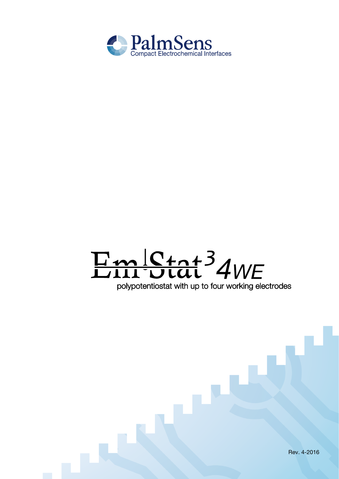

# Em Ctat<sup>3</sup> 4WE

polypotentiostat with up to four working electrodes

Rev. 4-2016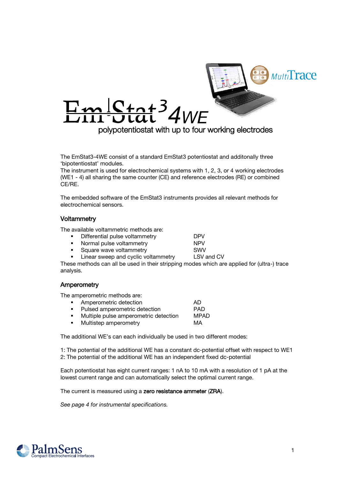

The EmStat3-4WE consist of a standard EmStat3 potentiostat and additonally three 'bipotentiostat' modules.

The instrument is used for electrochemical systems with 1, 2, 3, or 4 working electrodes (WE1 - 4) all sharing the same counter (CE) and reference electrodes (RE) or combined CE/RE.

The embedded software of the EmStat3 instruments provides all relevant methods for electrochemical sensors.

### **Voltammetry**

The available voltammetric methods are:

- Differential pulse voltammetry **DPV**<br>Normal pulse voltammetry **DPV** 
	-
	- **•** Normal pulse voltammetry **NPV**<br>• Square wave voltammetry **NPV** SWV
	- Square wave voltammetry SWV<br>
	Linear sweep and cyclic voltammetry LSV and CV Linear sweep and cyclic voltammetry

These methods can all be used in their stripping modes which are applied for (ultra-) trace analysis.

#### Amperometry

The amperometric methods are:

|    | Amperometric detection                | AD          |
|----|---------------------------------------|-------------|
| ٠. | Pulsed amperometric detection         | <b>PAD</b>  |
|    | Multiple pulse amperometric detection | <b>MPAD</b> |
| п. | Multistep amperometry                 | МA          |

The additional WE's can each individually be used in two different modes:

1: The potential of the additional WE has a constant dc-potential offset with respect to WE1 2: The potential of the additional WE has an independent fixed dc-potential

Each potentiostat has eight current ranges: 1 nA to 10 mA with a resolution of 1 pA at the lowest current range and can automatically select the optimal current range.

The current is measured using a zero resistance ammeter (ZRA).

See page 4 for instrumental specifications.

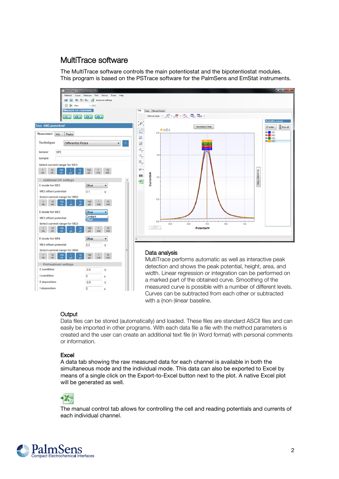# MultiTrace software

The MultiTrace software controls the main potentiostat and the bipotentiostat modules. This program is based on the PSTrace software for the PalmSens and EmStat instruments.



# **Output**

Data files can be stored (automatically) and loaded. These files are standard ASCII files and can easily be imported in other programs. With each data file a file with the method parameters is created and the user can create an additional text file (in Word format) with personal comments or information.

# Excel

A data tab showing the raw measured data for each channel is available in both the simultaneous mode and the individual mode. This data can also be exported to Excel by means of a single click on the Export-to-Excel button next to the plot. A native Excel plot will be generated as well.



The manual control tab allows for controlling the cell and reading potentials and currents of each individual channel.

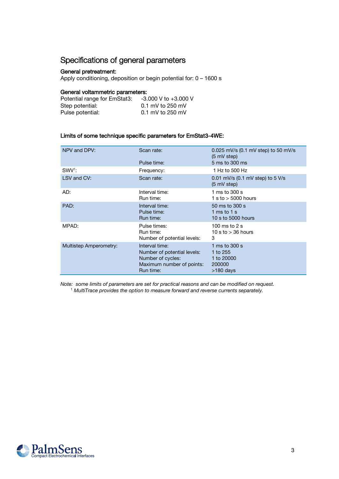# Specifications of general parameters

#### General pretreatment:

Apply conditioning, deposition or begin potential for: 0 – 1600 s

#### General voltammetric parameters:

| Potential range for EmStat3: | $-3.000$ V to $+3.000$ V |
|------------------------------|--------------------------|
| Step potential:              | $0.1$ mV to 250 mV       |
| Pulse potential:             | $0.1$ mV to 250 mV       |

#### Limits of some technique specific parameters for EmStat3-4WE:

| NPV and DPV:           | Scan rate:                                                                                                   | 0.025 mV/s $(0.1 \text{ mV step})$ to 50 mV/s<br>$(5 \text{ mV step})$ |
|------------------------|--------------------------------------------------------------------------------------------------------------|------------------------------------------------------------------------|
|                        | Pulse time:                                                                                                  | 5 ms to 300 ms                                                         |
| SWV <sup>1</sup> :     | Frequency:                                                                                                   | 1 Hz to 500 Hz                                                         |
| LSV and CV:            | Scan rate:                                                                                                   | 0.01 mV/s (0.1 mV step) to 5 V/s<br>$(5 \text{ mV step})$              |
| AD:                    | Interval time:<br>Run time:                                                                                  | 1 ms to $300 s$<br>1 s to $>$ 5000 hours                               |
| PAD:                   | Interval time:<br>Pulse time:<br>Run time:                                                                   | 50 ms to 300 s<br>1 ms to 1 s<br>10 s to 5000 hours                    |
| MPAD:                  | Pulse times:<br>Run time:<br>Number of potential levels:                                                     | 100 ms to $2s$<br>10 s to $>$ 36 hours<br>3                            |
| Multistep Amperometry: | Interval time:<br>Number of potential levels:<br>Number of cycles:<br>Maximum number of points:<br>Run time: | 1 ms to $300 s$<br>1 to 255<br>1 to 20000<br>200000<br>>180 days       |

Note: some limits of parameters are set for practical reasons and can be modified on request. <sup>1</sup> MultiTrace provides the option to measure forward and reverse currents separately.

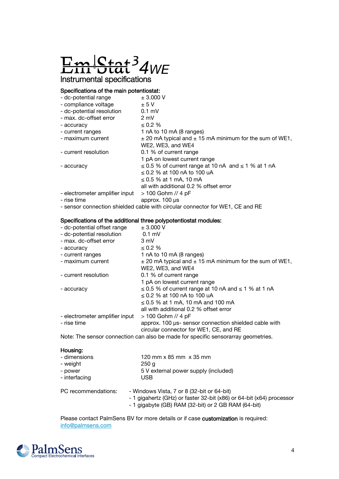

#### Specifications of the main potentiostat:

| - dc-potential range           | ± 3.000 V                                                       |
|--------------------------------|-----------------------------------------------------------------|
| - compliance voltage           | ± 5V                                                            |
| - dc-potential resolution      | $0.1$ mV                                                        |
| - max. dc-offset error         | $2 \text{ mV}$                                                  |
| - accuracy                     | $\leq 0.2 \%$                                                   |
| - current ranges               | 1 nA to 10 mA (8 ranges)                                        |
| - maximum current              | $\pm$ 20 mA typical and $\pm$ 15 mA minimum for the sum of WE1, |
|                                | WE2, WE3, and WE4                                               |
| - current resolution           | 0.1 % of current range                                          |
|                                | 1 pA on lowest current range                                    |
| - accuracy                     | $\leq$ 0.5 % of current range at 10 nA and $\leq$ 1 % at 1 nA   |
|                                | $\leq$ 0.2 % at 100 nA to 100 uA                                |
|                                | ≤ 0.5 % at 1 mA, 10 mA                                          |
|                                | all with additional 0.2 % offset error                          |
| - electrometer amplifier input | $> 100$ Gohm // 4 pF                                            |
|                                |                                                                 |

- rise time approx. 100 μs
- sensor connection shielded cable with circular connector for WE1, CE and RE

#### Specifications of the additional three polypotentiostat modules:

| - dc-potential offset range    | $\pm$ 3.000 V                                                   |
|--------------------------------|-----------------------------------------------------------------|
| - dc-potential resolution      | $0.1$ mV                                                        |
| - max. dc-offset error         | 3 mV                                                            |
| - accuracy                     | $\leq 0.2 \%$                                                   |
| - current ranges               | 1 nA to 10 mA (8 ranges)                                        |
| - maximum current              | $\pm$ 20 mA typical and $\pm$ 15 mA minimum for the sum of WE1, |
|                                | WE2, WE3, and WE4                                               |
| - current resolution           | 0.1 % of current range                                          |
|                                | 1 pA on lowest current range                                    |
| - accuracy                     | $\leq$ 0.5 % of current range at 10 nA and $\leq$ 1 % at 1 nA   |
|                                | $\leq$ 0.2 % at 100 nA to 100 uA                                |
|                                | $\leq$ 0.5 % at 1 mA, 10 mA and 100 mA                          |
|                                | all with additional 0.2 % offset error                          |
| - electrometer amplifier input | $> 100$ Gohm // 4 pF                                            |
| - rise time                    | approx. 100 µs- sensor connection shielded cable with           |
|                                | circular connector for WE1, CE, and RE                          |
|                                |                                                                 |

Note: The sensor connection can also be made for specific sensorarray geometries.

#### Housing:

| - dimensions        | 120 mm x 85 mm x 35 mm                                                                                                                                          |
|---------------------|-----------------------------------------------------------------------------------------------------------------------------------------------------------------|
| - weight            | 250q                                                                                                                                                            |
| - power             | 5 V external power supply (included)                                                                                                                            |
| - interfacing       | <b>USB</b>                                                                                                                                                      |
| PC recommendations: | - Windows Vista, 7 or 8 (32-bit or 64-bit)<br>- 1 gigahertz (GHz) or faster 32-bit (x86) or 64-bit (x64)<br>- 1 gigabyte (GB) RAM (32-bit) or 2 GB RAM (64-bit) |

Please contact PalmSens BV for more details or if case customization is required: [info@palmsens.com](mailto:info@palmsens.com)



processor